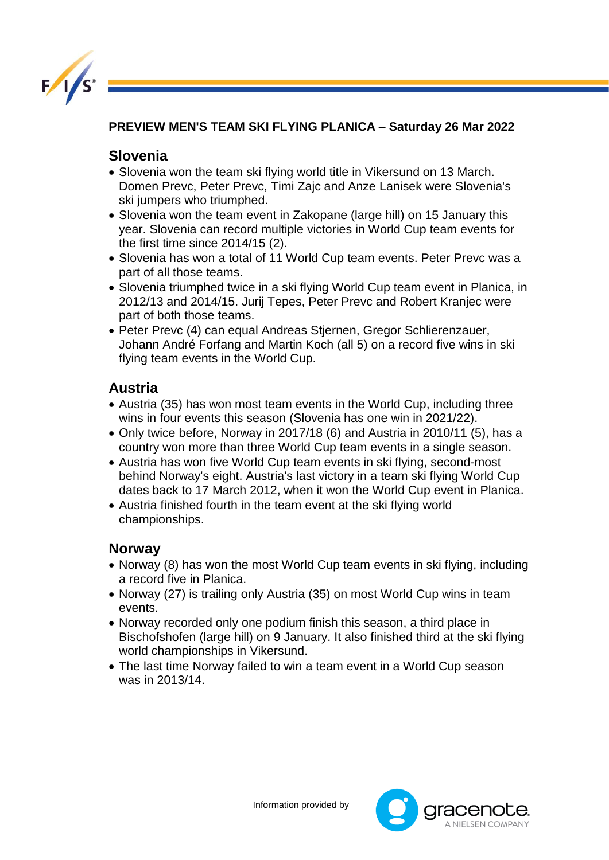

**PREVIEW MEN'S TEAM SKI FLYING PLANICA – Saturday 26 Mar 2022** 

## **Slovenia**

- Slovenia won the team ski flying world title in Vikersund on 13 March. Domen Prevc, Peter Prevc, Timi Zajc and Anze Lanisek were Slovenia's ski jumpers who triumphed.
- Slovenia won the team event in Zakopane (large hill) on 15 January this year. Slovenia can record multiple victories in World Cup team events for the first time since 2014/15 (2).
- Slovenia has won a total of 11 World Cup team events. Peter Prevc was a part of all those teams.
- Slovenia triumphed twice in a ski flying World Cup team event in Planica, in 2012/13 and 2014/15. Jurij Tepes, Peter Prevc and Robert Kranjec were part of both those teams.
- Peter Prevc (4) can equal Andreas Stjernen, Gregor Schlierenzauer, Johann André Forfang and Martin Koch (all 5) on a record five wins in ski flying team events in the World Cup.

## **Austria**

- Austria (35) has won most team events in the World Cup, including three wins in four events this season (Slovenia has one win in 2021/22).
- Only twice before, Norway in 2017/18 (6) and Austria in 2010/11 (5), has a country won more than three World Cup team events in a single season.
- Austria has won five World Cup team events in ski flying, second-most behind Norway's eight. Austria's last victory in a team ski flying World Cup dates back to 17 March 2012, when it won the World Cup event in Planica.
- Austria finished fourth in the team event at the ski flying world championships.

## **Norway**

- Norway (8) has won the most World Cup team events in ski flying, including a record five in Planica.
- Norway (27) is trailing only Austria (35) on most World Cup wins in team events.
- Norway recorded only one podium finish this season, a third place in Bischofshofen (large hill) on 9 January. It also finished third at the ski flying world championships in Vikersund.
- The last time Norway failed to win a team event in a World Cup season was in 2013/14.

Information provided by